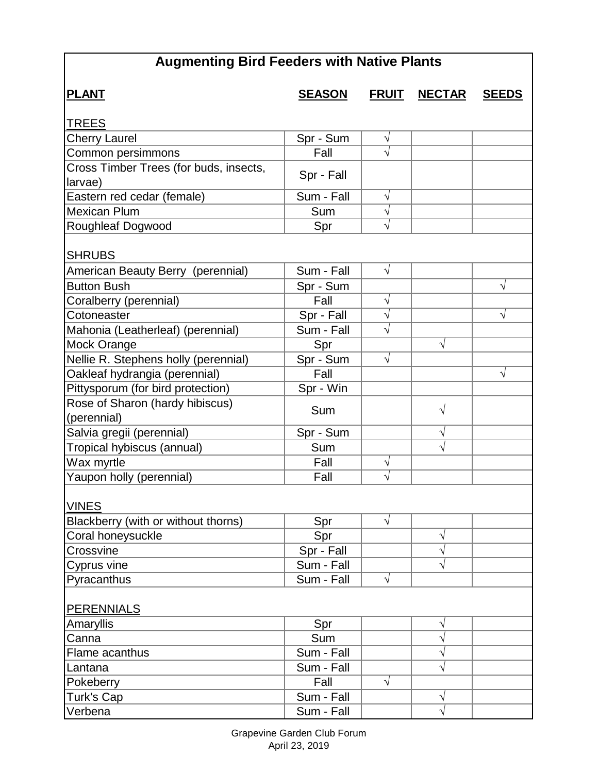## **Augmenting Bird Feeders with Native Plants**

| <b>PLANT</b>                                   | <u>SEASON</u> | <b>FRUIT</b> | <u>NECTAR</u> | <b>SEEDS</b> |
|------------------------------------------------|---------------|--------------|---------------|--------------|
| TREES                                          |               |              |               |              |
| <b>Cherry Laurel</b>                           | Spr - Sum     | V            |               |              |
| Common persimmons                              | Fall          |              |               |              |
| Cross Timber Trees (for buds, insects,         |               |              |               |              |
| larvae)                                        | Spr - Fall    |              |               |              |
| Eastern red cedar (female)                     | Sum - Fall    | $\sqrt{}$    |               |              |
| <b>Mexican Plum</b>                            | Sum           | $\sqrt{}$    |               |              |
| Roughleaf Dogwood                              | Spr           | N            |               |              |
| <b>SHRUBS</b>                                  |               |              |               |              |
| American Beauty Berry (perennial)              | Sum - Fall    | $\sqrt{}$    |               |              |
| <b>Button Bush</b>                             | Spr - Sum     |              |               | $\sqrt{ }$   |
| Coralberry (perennial)                         | Fall          | $\sqrt{}$    |               |              |
| Cotoneaster                                    | Spr - Fall    | $\sqrt{}$    |               | $\sqrt{}$    |
| Mahonia (Leatherleaf) (perennial)              | Sum - Fall    | $\sqrt{}$    |               |              |
| Mock Orange                                    | Spr           |              | $\sqrt{}$     |              |
| Nellie R. Stephens holly (perennial)           | Spr - Sum     | $\sqrt{}$    |               |              |
| Oakleaf hydrangia (perennial)                  | Fall          |              |               | V            |
| Pittysporum (for bird protection)              | Spr - Win     |              |               |              |
| Rose of Sharon (hardy hibiscus)<br>(perennial) | Sum           |              | $\sqrt{ }$    |              |
| Salvia gregii (perennial)                      | Spr - Sum     |              | $\sqrt{}$     |              |
| Tropical hybiscus (annual)                     | Sum           |              | $\sqrt{}$     |              |
| Wax myrtle                                     | Fall          | V            |               |              |
| Yaupon holly (perennial)                       | Fall          | $\sqrt{}$    |               |              |
| <b>VINES</b>                                   |               |              |               |              |
| Blackberry (with or without thorns)            | Spr           | $\sqrt{}$    |               |              |
| Coral honeysuckle                              | Spr           |              | $\sqrt{}$     |              |
| Crossvine                                      | Spr - Fall    |              | $\sqrt{}$     |              |
| Cyprus vine                                    | Sum - Fall    |              | $\sqrt{}$     |              |
| Pyracanthus                                    | Sum - Fall    | $\sqrt{}$    |               |              |
| <b>PERENNIALS</b>                              |               |              |               |              |
| Amaryllis                                      | Spr           |              | V             |              |
| Canna                                          | Sum           |              | $\sqrt{}$     |              |
| Flame acanthus                                 | Sum - Fall    |              | $\sqrt{}$     |              |
| Lantana                                        | Sum - Fall    |              | $\sqrt{}$     |              |
| Pokeberry                                      | Fall          | $\sqrt{}$    |               |              |
| Turk's Cap                                     | Sum - Fall    |              | $\sqrt{}$     |              |
| Verbena                                        | Sum - Fall    |              | $\sqrt{}$     |              |